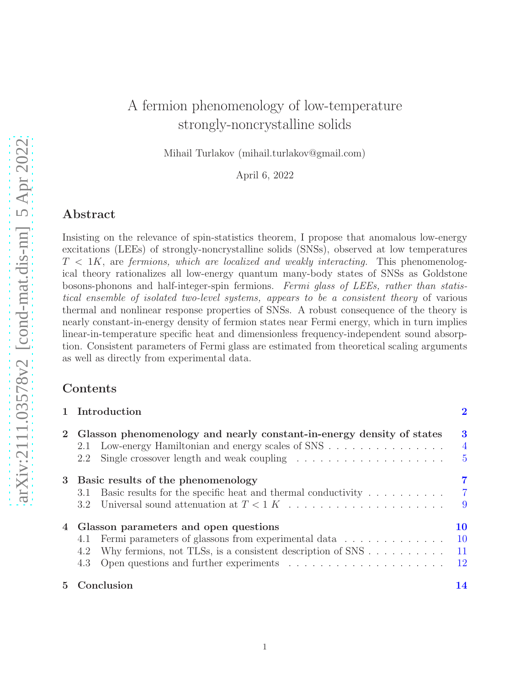# A fermion phenomenology of low-temperature strongly-noncrystalline solids

Mihail Turlakov (mihail.turlakov@gmail.com)

April 6, 2022

# Abstract

Insisting on the relevance of spin-statistics theorem, I propose that anomalous low-energy excitations (LEEs) of strongly-noncrystalline solids (SNSs), observed at low temperatures  $T < 1K$ , are fermions, which are localized and weakly interacting. This phenomenological theory rationalizes all low-energy quantum many-body states of SNSs as Goldstone bosons-phonons and half-integer-spin fermions. Fermi glass of LEEs, rather than statistical ensemble of isolated two-level systems, appears to be a consistent theory of various thermal and nonlinear response properties of SNSs. A robust consequence of the theory is nearly constant-in-energy density of fermion states near Fermi energy, which in turn implies linear-in-temperature specific heat and dimensionless frequency-independent sound absorption. Consistent parameters of Fermi glass are estimated from theoretical scaling arguments as well as directly from experimental data.

### Contents

| 1 Introduction                                                                                                                                                                                                                                                         | $\overline{2}$                        |
|------------------------------------------------------------------------------------------------------------------------------------------------------------------------------------------------------------------------------------------------------------------------|---------------------------------------|
| 2 Glasson phenomenology and nearly constant-in-energy density of states<br>Low-energy Hamiltonian and energy scales of SNS<br>2.1<br>Single crossover length and weak coupling $\dots \dots \dots \dots \dots \dots \dots$<br>2.2                                      | 3<br>$\overline{4}$<br>$\overline{5}$ |
| 3 Basic results of the phenomenology<br>Basic results for the specific heat and thermal conductivity $\dots \dots \dots$<br>3.1<br>3.2                                                                                                                                 | 7<br>$\overline{7}$<br>-9             |
| 4 Glasson parameters and open questions<br>4.1 Fermi parameters of glassons from experimental data<br>Why fermions, not TLSs, is a consistent description of $SNS$<br>4.2<br>Open questions and further experiments $\dots \dots \dots \dots \dots \dots \dots$<br>4.3 | 10<br>$10\,$<br>11<br>$12\,$          |
| 5 Conclusion                                                                                                                                                                                                                                                           | 14                                    |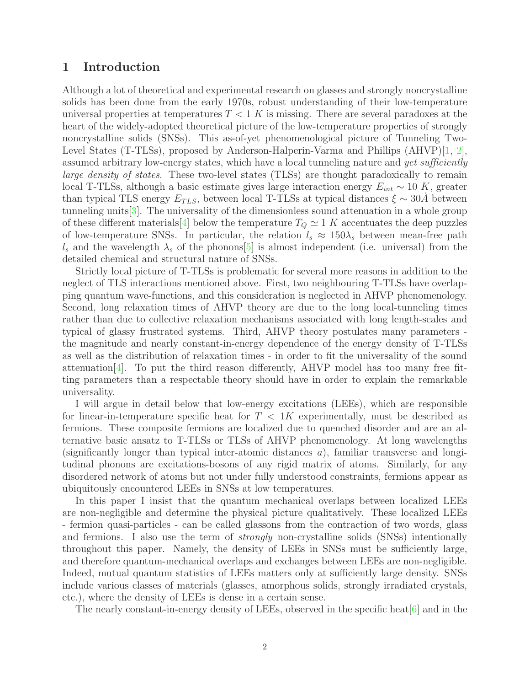# <span id="page-1-0"></span>1 Introduction

Although a lot of theoretical and experimental research on glasses and strongly noncrystalline solids has been done from the early 1970s, robust understanding of their low-temperature universal properties at temperatures  $T < 1$  K is missing. There are several paradoxes at the heart of the widely-adopted theoretical picture of the low-temperature properties of strongly noncrystalline solids (SNSs). This as-of-yet phenomenological picture of Tunneling Two-Level States (T-TLSs), proposed by Anderson-Halperin-Varma and Phillips (AHVP)[\[1,](#page-13-1) [2\]](#page-13-2), assumed arbitrary low-energy states, which have a local tunneling nature and yet sufficiently large density of states. These two-level states (TLSs) are thought paradoxically to remain local T-TLSs, although a basic estimate gives large interaction energy  $E_{int} \sim 10 K$ , greater than typical TLS energy  $E_{TLS}$ , between local T-TLSs at typical distances  $\xi \sim 30A$  between tunneling units[\[3](#page-13-3)]. The universality of the dimensionless sound attenuation in a whole group of these different materials [\[4](#page-13-4)] below the temperature  $T_Q \simeq 1$  K accentuates the deep puzzles of low-temperature SNSs. In particular, the relation  $l_s \approx 150\lambda_s$  between mean-free path  $l_s$  and the wavelength  $\lambda_s$  of the phonons  $[5]$  $[5]$  is almost independent (i.e. universal) from the detailed chemical and structural nature of SNSs.

Strictly local picture of T-TLSs is problematic for several more reasons in addition to the neglect of TLS interactions mentioned above. First, two neighbouring T-TLSs have overlapping quantum wave-functions, and this consideration is neglected in AHVP phenomenology. Second, long relaxation times of AHVP theory are due to the long local-tunneling times rather than due to collective relaxation mechanisms associated with long length-scales and typical of glassy frustrated systems. Third, AHVP theory postulates many parameters the magnitude and nearly constant-in-energy dependence of the energy density of T-TLSs as well as the distribution of relaxation times - in order to fit the universality of the sound attenuation  $[4]$ . To put the third reason differently, AHVP model has too many free fitting parameters than a respectable theory should have in order to explain the remarkable universality.

I will argue in detail below that low-energy excitations (LEEs), which are responsible for linear-in-temperature specific heat for  $T < 1K$  experimentally, must be described as fermions. These composite fermions are localized due to quenched disorder and are an alternative basic ansatz to T-TLSs or TLSs of AHVP phenomenology. At long wavelengths (significantly longer than typical inter-atomic distances  $a$ ), familiar transverse and longitudinal phonons are excitations-bosons of any rigid matrix of atoms. Similarly, for any disordered network of atoms but not under fully understood constraints, fermions appear as ubiquitously encountered LEEs in SNSs at low temperatures.

In this paper I insist that the quantum mechanical overlaps between localized LEEs are non-negligible and determine the physical picture qualitatively. These localized LEEs - fermion quasi-particles - can be called glassons from the contraction of two words, glass and fermions. I also use the term of strongly non-crystalline solids (SNSs) intentionally throughout this paper. Namely, the density of LEEs in SNSs must be sufficiently large, and therefore quantum-mechanical overlaps and exchanges between LEEs are non-negligible. Indeed, mutual quantum statistics of LEEs matters only at sufficiently large density. SNSs include various classes of materials (glasses, amorphous solids, strongly irradiated crystals, etc.), where the density of LEEs is dense in a certain sense.

The nearly constant-in-energy density of LEEs, observed in the specific heat  $[6]$  and in the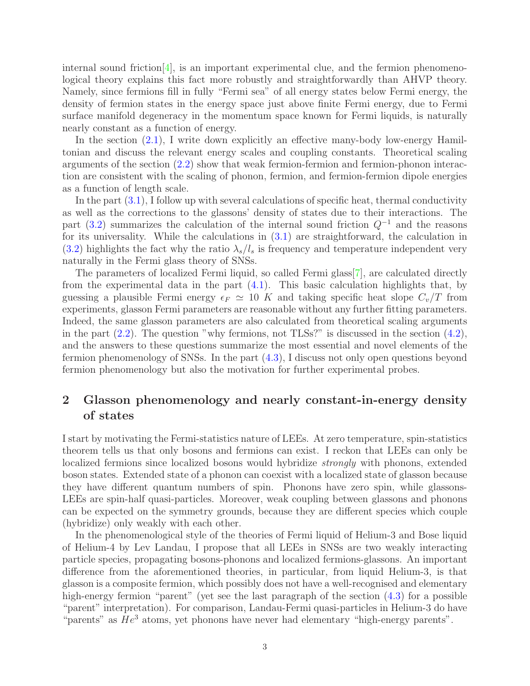internal sound friction<sup>[\[4](#page-13-4)]</sup>, is an important experimental clue, and the fermion phenomenological theory explains this fact more robustly and straightforwardly than AHVP theory. Namely, since fermions fill in fully "Fermi sea" of all energy states below Fermi energy, the density of fermion states in the energy space just above finite Fermi energy, due to Fermi surface manifold degeneracy in the momentum space known for Fermi liquids, is naturally nearly constant as a function of energy.

In the section [\(2.1\)](#page-3-0), I write down explicitly an effective many-body low-energy Hamiltonian and discuss the relevant energy scales and coupling constants. Theoretical scaling arguments of the section [\(2.2\)](#page-4-0) show that weak fermion-fermion and fermion-phonon interaction are consistent with the scaling of phonon, fermion, and fermion-fermion dipole energies as a function of length scale.

In the part [\(3.1\)](#page-6-1), I follow up with several calculations of specific heat, thermal conductivity as well as the corrections to the glassons' density of states due to their interactions. The part [\(3.2\)](#page-8-0) summarizes the calculation of the internal sound friction  $Q^{-1}$  and the reasons for its universality. While the calculations in [\(3.1\)](#page-6-1) are straightforward, the calculation in  $(3.2)$  highlights the fact why the ratio  $\lambda_s/l_s$  is frequency and temperature independent very naturally in the Fermi glass theory of SNSs.

The parameters of localized Fermi liquid, so called Fermi glass[\[7](#page-14-2)], are calculated directly from the experimental data in the part [\(4.1\)](#page-9-1). This basic calculation highlights that, by guessing a plausible Fermi energy  $\epsilon_F \simeq 10$  K and taking specific heat slope  $C_v/T$  from experiments, glasson Fermi parameters are reasonable without any further fitting parameters. Indeed, the same glasson parameters are also calculated from theoretical scaling arguments in the part  $(2.2)$ . The question "why fermions, not TLSs?" is discussed in the section  $(4.2)$ , and the answers to these questions summarize the most essential and novel elements of the fermion phenomenology of SNSs. In the part [\(4.3\)](#page-11-0), I discuss not only open questions beyond fermion phenomenology but also the motivation for further experimental probes.

# <span id="page-2-0"></span>2 Glasson phenomenology and nearly constant-in-energy density of states

I start by motivating the Fermi-statistics nature of LEEs. At zero temperature, spin-statistics theorem tells us that only bosons and fermions can exist. I reckon that LEEs can only be localized fermions since localized bosons would hybridize strongly with phonons, extended boson states. Extended state of a phonon can coexist with a localized state of glasson because they have different quantum numbers of spin. Phonons have zero spin, while glassons-LEEs are spin-half quasi-particles. Moreover, weak coupling between glassons and phonons can be expected on the symmetry grounds, because they are different species which couple (hybridize) only weakly with each other.

In the phenomenological style of the theories of Fermi liquid of Helium-3 and Bose liquid of Helium-4 by Lev Landau, I propose that all LEEs in SNSs are two weakly interacting particle species, propagating bosons-phonons and localized fermions-glassons. An important difference from the aforementioned theories, in particular, from liquid Helium-3, is that glasson is a composite fermion, which possibly does not have a well-recognised and elementary high-energy fermion "parent" (yet see the last paragraph of the section  $(4.3)$  for a possible "parent" interpretation). For comparison, Landau-Fermi quasi-particles in Helium-3 do have "parents" as  $He^3$  atoms, yet phonons have never had elementary "high-energy parents".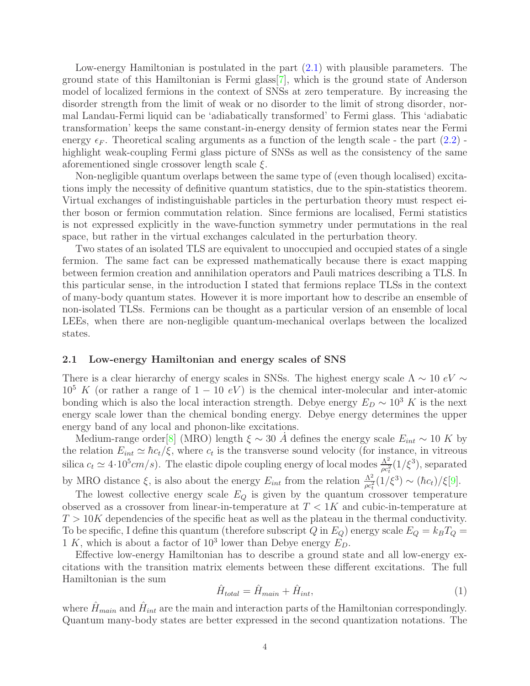Low-energy Hamiltonian is postulated in the part [\(2.1\)](#page-3-0) with plausible parameters. The ground state of this Hamiltonian is Fermi glass[\[7\]](#page-14-2), which is the ground state of Anderson model of localized fermions in the context of SNSs at zero temperature. By increasing the disorder strength from the limit of weak or no disorder to the limit of strong disorder, normal Landau-Fermi liquid can be 'adiabatically transformed' to Fermi glass. This 'adiabatic transformation' keeps the same constant-in-energy density of fermion states near the Fermi energy  $\epsilon_F$ . Theoretical scaling arguments as a function of the length scale - the part [\(2.2\)](#page-4-0) highlight weak-coupling Fermi glass picture of SNSs as well as the consistency of the same aforementioned single crossover length scale  $\xi$ .

Non-negligible quantum overlaps between the same type of (even though localised) excitations imply the necessity of definitive quantum statistics, due to the spin-statistics theorem. Virtual exchanges of indistinguishable particles in the perturbation theory must respect either boson or fermion commutation relation. Since fermions are localised, Fermi statistics is not expressed explicitly in the wave-function symmetry under permutations in the real space, but rather in the virtual exchanges calculated in the perturbation theory.

Two states of an isolated TLS are equivalent to unoccupied and occupied states of a single fermion. The same fact can be expressed mathematically because there is exact mapping between fermion creation and annihilation operators and Pauli matrices describing a TLS. In this particular sense, in the introduction I stated that fermions replace TLSs in the context of many-body quantum states. However it is more important how to describe an ensemble of non-isolated TLSs. Fermions can be thought as a particular version of an ensemble of local LEEs, when there are non-negligible quantum-mechanical overlaps between the localized states.

#### <span id="page-3-0"></span>2.1 Low-energy Hamiltonian and energy scales of SNS

There is a clear hierarchy of energy scales in SNSs. The highest energy scale  $\Lambda \sim 10 \text{ eV} \sim$  $10^5$  K (or rather a range of  $1 - 10$  eV) is the chemical inter-molecular and inter-atomic bonding which is also the local interaction strength. Debye energy  $E_D \sim 10^3 K$  is the next energy scale lower than the chemical bonding energy. Debye energy determines the upper energy band of any local and phonon-like excitations.

Medium-range order[\[8\]](#page-14-3) (MRO) length  $\xi \sim 30$  A defines the energy scale  $E_{int} \sim 10$  K by the relation  $E_{int} \simeq \hbar c_t/\xi$ , where  $c_t$  is the transverse sound velocity (for instance, in vitreous silica  $c_t \simeq 4 \cdot 10^5 cm/s$ . The elastic dipole coupling energy of local modes  $\frac{\Lambda^2}{\rho c_t^2} (1/\xi^3)$ , separated by MRO distance  $\xi$ , is also about the energy  $E_{int}$  from the relation  $\frac{\Lambda^2}{\rho c_t^2}(1/\xi^3) \sim (\hbar c_t)/\xi[9]$  $\frac{\Lambda^2}{\rho c_t^2}(1/\xi^3) \sim (\hbar c_t)/\xi[9]$ .

The lowest collective energy scale  $E_Q$  is given by the quantum crossover temperature observed as a crossover from linear-in-temperature at  $T < 1K$  and cubic-in-temperature at  $T > 10K$  dependencies of the specific heat as well as the plateau in the thermal conductivity. To be specific, I define this quantum (therefore subscript Q in  $E_Q$ ) energy scale  $E_Q = k_B T_Q =$ 1 K, which is about a factor of  $10^3$  lower than Debye energy  $E_D$ .

Effective low-energy Hamiltonian has to describe a ground state and all low-energy excitations with the transition matrix elements between these different excitations. The full Hamiltonian is the sum

<span id="page-3-1"></span>
$$
\hat{H}_{total} = \hat{H}_{main} + \hat{H}_{int},\tag{1}
$$

where  $\hat{H}_{main}$  and  $\hat{H}_{int}$  are the main and interaction parts of the Hamiltonian correspondingly. Quantum many-body states are better expressed in the second quantization notations. The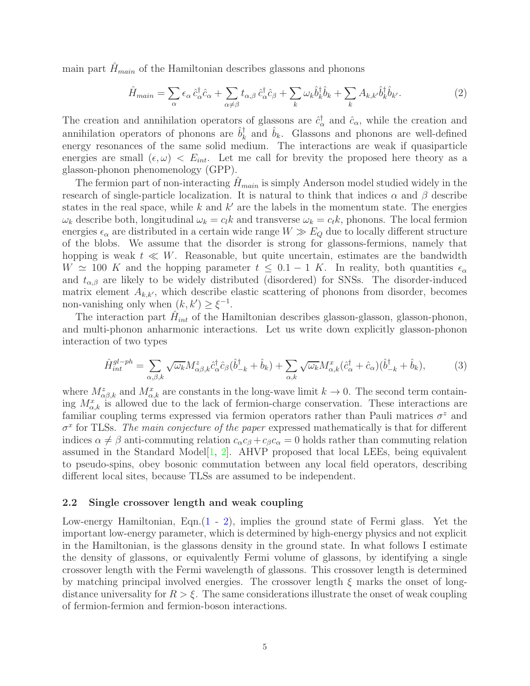main part  $H_{main}$  of the Hamiltonian describes glassons and phonons

<span id="page-4-1"></span>
$$
\hat{H}_{main} = \sum_{\alpha} \epsilon_{\alpha} \,\hat{c}_{\alpha}^{\dagger} \hat{c}_{\alpha} + \sum_{\alpha \neq \beta} t_{\alpha,\beta} \,\hat{c}_{\alpha}^{\dagger} \hat{c}_{\beta} + \sum_{k} \omega_{k} \hat{b}_{k}^{\dagger} \hat{b}_{k} + \sum_{k} A_{k,k'} \hat{b}_{k}^{\dagger} \hat{b}_{k'}.
$$
 (2)

The creation and annihilation operators of glassons are  $\hat{c}^{\dagger}_{\alpha}$  and  $\hat{c}_{\alpha}$ , while the creation and annihilation operators of phonons are  $\hat{b}_k^{\dagger}$  $\hat{b}_k$  and  $\hat{b}_k$ . Glassons and phonons are well-defined energy resonances of the same solid medium. The interactions are weak if quasiparticle energies are small  $(\epsilon, \omega) < E_{int}$ . Let me call for brevity the proposed here theory as a glasson-phonon phenomenology (GPP).

The fermion part of non-interacting  $H_{main}$  is simply Anderson model studied widely in the research of single-particle localization. It is natural to think that indices  $\alpha$  and  $\beta$  describe states in the real space, while  $k$  and  $k'$  are the labels in the momentum state. The energies  $\omega_k$  describe both, longitudinal  $\omega_k = c_l k$  and transverse  $\omega_k = c_t k$ , phonons. The local fermion energies  $\epsilon_{\alpha}$  are distributed in a certain wide range  $W \gg E_Q$  due to locally different structure of the blobs. We assume that the disorder is strong for glassons-fermions, namely that hopping is weak  $t \ll W$ . Reasonable, but quite uncertain, estimates are the bandwidth  $W \simeq 100$  K and the hopping parameter  $t \leq 0.1 - 1$  K. In reality, both quantities  $\epsilon_{\alpha}$ and  $t_{\alpha,\beta}$  are likely to be widely distributed (disordered) for SNSs. The disorder-induced matrix element  $A_{k,k'}$ , which describe elastic scattering of phonons from disorder, becomes non-vanishing only when  $(k, k') \geq \xi^{-1}$ .

The interaction part  $\hat{H}_{int}$  of the Hamiltonian describes glasson-glasson, glasson-phonon, and multi-phonon anharmonic interactions. Let us write down explicitly glasson-phonon interaction of two types

<span id="page-4-2"></span>
$$
\hat{H}^{gl-ph}_{int} = \sum_{\alpha,\beta,k} \sqrt{\omega_k} M^z_{\alpha\beta,k} \hat{c}^\dagger_\alpha \hat{c}_\beta (\hat{b}^\dagger_{-k} + \hat{b}_k) + \sum_{\alpha,k} \sqrt{\omega_k} M^x_{\alpha,k} (\hat{c}^\dagger_\alpha + \hat{c}_\alpha)(\hat{b}^\dagger_{-k} + \hat{b}_k),\tag{3}
$$

where  $M^z_{\alpha\beta,k}$  and  $M^x_{\alpha,k}$  are constants in the long-wave limit  $k \to 0$ . The second term containing  $M_{\alpha,k}^x$  is allowed due to the lack of fermion-charge conservation. These interactions are familiar coupling terms expressed via fermion operators rather than Pauli matrices  $\sigma^z$  and  $\sigma^x$  for TLSs. The main conjecture of the paper expressed mathematically is that for different indices  $\alpha \neq \beta$  anti-commuting relation  $c_{\alpha}c_{\beta} + c_{\beta}c_{\alpha} = 0$  holds rather than commuting relation assumed in the Standard Model $[1, 2]$  $[1, 2]$  $[1, 2]$ . AHVP proposed that local LEEs, being equivalent to pseudo-spins, obey bosonic commutation between any local field operators, describing different local sites, because TLSs are assumed to be independent.

#### <span id="page-4-0"></span>2.2 Single crossover length and weak coupling

Low-energy Hamiltonian, Eqn.[\(1](#page-3-1) - [2\)](#page-4-1), implies the ground state of Fermi glass. Yet the important low-energy parameter, which is determined by high-energy physics and not explicit in the Hamiltonian, is the glassons density in the ground state. In what follows I estimate the density of glassons, or equivalently Fermi volume of glassons, by identifying a single crossover length with the Fermi wavelength of glassons. This crossover length is determined by matching principal involved energies. The crossover length  $\xi$  marks the onset of longdistance universality for  $R > \xi$ . The same considerations illustrate the onset of weak coupling of fermion-fermion and fermion-boson interactions.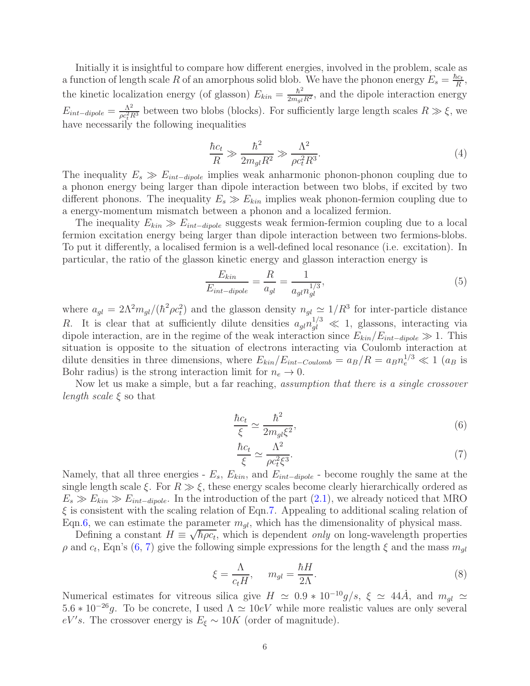Initially it is insightful to compare how different energies, involved in the problem, scale as a function of length scale R of an amorphous solid blob. We have the phonon energy  $E_s = \frac{\hbar c_t}{R}$  $\frac{ic_t}{R}$ , the kinetic localization energy (of glasson)  $E_{kin} = \frac{\hbar^2}{2m_g l R^2}$ , and the dipole interaction energy  $E_{int-dipole} = \frac{\Lambda^2}{\rho c^2 I}$  $\frac{\Lambda^2}{\rho c_t^2 R^3}$  between two blobs (blocks). For sufficiently large length scales  $R \gg \xi$ , we have necessarily the following inequalities

<span id="page-5-3"></span>
$$
\frac{\hbar c_t}{R} \gg \frac{\hbar^2}{2m_{gl}R^2} \gg \frac{\Lambda^2}{\rho c_t^2 R^3}.
$$
\n(4)

The inequality  $E_s \gg E_{int-dipole}$  implies weak anharmonic phonon-phonon coupling due to a phonon energy being larger than dipole interaction between two blobs, if excited by two different phonons. The inequality  $E_s \gg E_{kin}$  implies weak phonon-fermion coupling due to a energy-momentum mismatch between a phonon and a localized fermion.

The inequality  $E_{kin} \gg E_{int-dipole}$  suggests weak fermion-fermion coupling due to a local fermion excitation energy being larger than dipole interaction between two fermions-blobs. To put it differently, a localised fermion is a well-defined local resonance (i.e. excitation). In particular, the ratio of the glasson kinetic energy and glasson interaction energy is

$$
\frac{E_{kin}}{E_{int-dipole}} = \frac{R}{a_{gl}} = \frac{1}{a_{gl}n_{gl}^{1/3}},\tag{5}
$$

where  $a_{gl} = 2\Lambda^2 m_{gl}/(\hbar^2 \rho c_t^2)$  and the glasson density  $n_{gl} \simeq 1/R^3$  for inter-particle distance R. It is clear that at sufficiently dilute densities  $a_{gl}n_{gl}^{1/3} \ll 1$ , glassons, interacting via dipole interaction, are in the regime of the weak interaction since  $E_{kin}/E_{int-dipole} \gg 1$ . This situation is opposite to the situation of electrons interacting via Coulomb interaction at dilute densities in three dimensions, where  $E_{kin}/E_{int-Coulomb} = a_B/R = a_B n_e^{1/3} \ll 1$  ( $a_B$  is Bohr radius) is the strong interaction limit for  $n_e \rightarrow 0$ .

Now let us make a simple, but a far reaching, *assumption that there is a single crossover length scale*  $\xi$  so that

<span id="page-5-1"></span>
$$
\frac{\hbar c_t}{\xi} \simeq \frac{\hbar^2}{2m_{gl}\xi^2},\tag{6}
$$

<span id="page-5-0"></span>
$$
\frac{\hbar c_t}{\xi} \simeq \frac{\Lambda^2}{\rho c_t^2 \xi^3}.\tag{7}
$$

Namely, that all three energies -  $E_s$ ,  $E_{kin}$ , and  $E_{int-dipole}$  - become roughly the same at the single length scale  $\xi$ . For  $R \gg \xi$ , these energy scales become clearly hierarchically ordered as  $E_s \gg E_{kin} \gg E_{int-dipole}$ . In the introduction of the part [\(2.1\)](#page-3-0), we already noticed that MRO  $\xi$  is consistent with the scaling relation of Eqn[.7.](#page-5-0) Appealing to additional scaling relation of Eqn[.6,](#page-5-1) we can estimate the parameter  $m_{ql}$ , which has the dimensionality of physical mass.

Defining a constant  $H \equiv \sqrt{\hbar \rho c_t}$ , which is dependent *only* on long-wavelength properties  $\rho$  and  $c_t$ , Eqn's [\(6,](#page-5-1) [7\)](#page-5-0) give the following simple expressions for the length  $\xi$  and the mass  $m_{gl}$ 

<span id="page-5-2"></span>
$$
\xi = \frac{\Lambda}{c_t H}, \qquad m_{gl} = \frac{\hbar H}{2\Lambda}.\tag{8}
$$

Numerical estimates for vitreous silica give  $H \simeq 0.9 * 10^{-10} g/s$ ,  $\xi \simeq 44\dot{A}$ , and  $m_{gl} \simeq$  $5.6 * 10^{-26}g$ . To be concrete, I used  $\Lambda \simeq 10eV$  while more realistic values are only several  $eV's$ . The crossover energy is  $E_{\xi} \sim 10K$  (order of magnitude).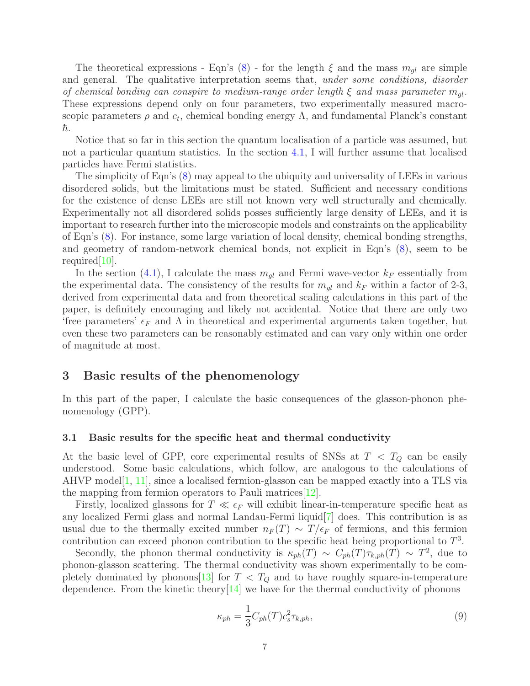The theoretical expressions - Eqn's  $(8)$  - for the length  $\xi$  and the mass  $m_{gl}$  are simple and general. The qualitative interpretation seems that, *under some conditions*, *disorder* of chemical bonding can conspire to medium-range order length  $\xi$  and mass parameter  $m_{ol}$ . These expressions depend only on four parameters, two experimentally measured macroscopic parameters  $\rho$  and  $c_t$ , chemical bonding energy  $\Lambda$ , and fundamental Planck's constant  $\hbar$ .

Notice that so far in this section the quantum localisation of a particle was assumed, but not a particular quantum statistics. In the section [4.1,](#page-9-1) I will further assume that localised particles have Fermi statistics.

The simplicity of Eqn's [\(8\)](#page-5-2) may appeal to the ubiquity and universality of LEEs in various disordered solids, but the limitations must be stated. Sufficient and necessary conditions for the existence of dense LEEs are still not known very well structurally and chemically. Experimentally not all disordered solids posses sufficiently large density of LEEs, and it is important to research further into the microscopic models and constraints on the applicability of Eqn's [\(8\)](#page-5-2). For instance, some large variation of local density, chemical bonding strengths, and geometry of random-network chemical bonds, not explicit in Eqn's [\(8\)](#page-5-2), seem to be required[\[10\]](#page-14-5).

In the section [\(4.1\)](#page-9-1), I calculate the mass  $m_{ql}$  and Fermi wave-vector  $k_F$  essentially from the experimental data. The consistency of the results for  $m_{ql}$  and  $k_F$  within a factor of 2-3, derived from experimental data and from theoretical scaling calculations in this part of the paper, is definitely encouraging and likely not accidental. Notice that there are only two 'free parameters'  $\epsilon_F$  and  $\Lambda$  in theoretical and experimental arguments taken together, but even these two parameters can be reasonably estimated and can vary only within one order of magnitude at most.

# <span id="page-6-0"></span>3 Basic results of the phenomenology

In this part of the paper, I calculate the basic consequences of the glasson-phonon phenomenology (GPP).

#### <span id="page-6-1"></span>3.1 Basic results for the specific heat and thermal conductivity

At the basic level of GPP, core experimental results of SNSs at  $T < T_Q$  can be easily understood. Some basic calculations, which follow, are analogous to the calculations of AHVP model  $[1, 11]$  $[1, 11]$  $[1, 11]$  $[1, 11]$ , since a localised fermion-glasson can be mapped exactly into a TLS via the mapping from fermion operators to Pauli matrices[\[12\]](#page-14-7).

Firstly, localized glassons for  $T \ll \epsilon_F$  will exhibit linear-in-temperature specific heat as any localized Fermi glass and normal Landau-Fermi liquid[\[7\]](#page-14-2) does. This contribution is as usual due to the thermally excited number  $n_F(T) \sim T/\epsilon_F$  of fermions, and this fermion contribution can exceed phonon contribution to the specific heat being proportional to  $T^3$ .

Secondly, the phonon thermal conductivity is  $\kappa_{ph}(T) \sim C_{ph}(T) \tau_{k,ph}(T) \sim T^2$ , due to phonon-glasson scattering. The thermal conductivity was shown experimentally to be completely dominated by phonons  $\boxed{13}$  for  $T < T_Q$  and to have roughly square-in-temperature dependence. From the kinetic theory $[14]$  $[14]$  we have for the thermal conductivity of phonons

<span id="page-6-2"></span>
$$
\kappa_{ph} = \frac{1}{3} C_{ph}(T) c_s^2 \tau_{k,ph},\tag{9}
$$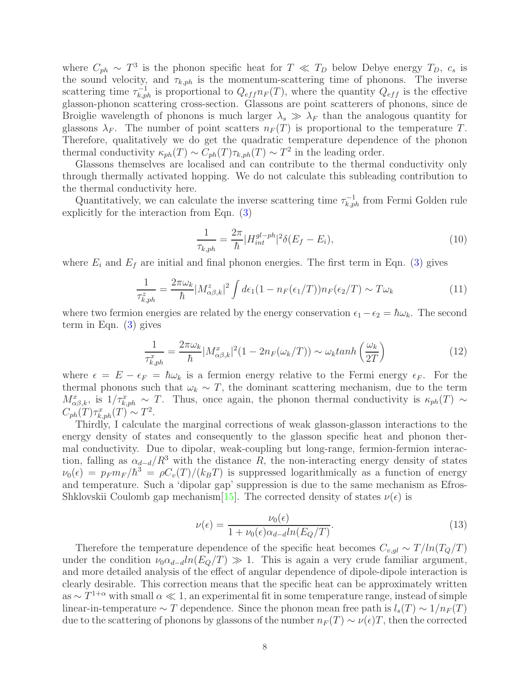where  $C_{ph} \sim T^3$  is the phonon specific heat for  $T \ll T_D$  below Debye energy  $T_D$ ,  $c_s$  is the sound velocity, and  $\tau_{k,ph}$  is the momentum-scattering time of phonons. The inverse scattering time  $\tau_{k,ph}^{-1}$  is proportional to  $Q_{eff}n_F(T)$ , where the quantity  $Q_{eff}$  is the effective glasson-phonon scattering cross-section. Glassons are point scatterers of phonons, since de Broiglie wavelength of phonons is much larger  $\lambda_s \gg \lambda_F$  than the analogous quantity for glassons  $\lambda_F$ . The number of point scatters  $n_F(T)$  is proportional to the temperature T. Therefore, qualitatively we do get the quadratic temperature dependence of the phonon thermal conductivity  $\kappa_{ph}(T) \sim C_{ph}(T) \tau_{k,ph}(T) \sim T^2$  in the leading order.

Glassons themselves are localised and can contribute to the thermal conductivity only through thermally activated hopping. We do not calculate this subleading contribution to the thermal conductivity here.

Quantitatively, we can calculate the inverse scattering time  $\tau_{k,ph}^{-1}$  from Fermi Golden rule explicitly for the interaction from Eqn. [\(3\)](#page-4-2)

$$
\frac{1}{\tau_{k,ph}} = \frac{2\pi}{\hbar} |H_{int}^{gl-ph}|^2 \delta(E_f - E_i), \tag{10}
$$

where  $E_i$  and  $E_f$  are initial and final phonon energies. The first term in Eqn. [\(3\)](#page-4-2) gives

$$
\frac{1}{\tau_{k,ph}^z} = \frac{2\pi\omega_k}{\hbar} |M_{\alpha\beta,k}^z|^2 \int d\epsilon_1 (1 - n_F(\epsilon_1/T)) n_F(\epsilon_2/T) \sim T\omega_k \tag{11}
$$

where two fermion energies are related by the energy conservation  $\epsilon_1 - \epsilon_2 = \hbar \omega_k$ . The second term in Eqn. [\(3\)](#page-4-2) gives

$$
\frac{1}{\tau_{k,ph}^x} = \frac{2\pi\omega_k}{\hbar} |M_{\alpha\beta,k}^x|^2 (1 - 2n_F(\omega_k/T)) \sim \omega_k \tanh\left(\frac{\omega_k}{2T}\right)
$$
(12)

where  $\epsilon = E - \epsilon_F = \hbar \omega_k$  is a fermion energy relative to the Fermi energy  $\epsilon_F$ . For the thermal phonons such that  $\omega_k \sim T$ , the dominant scattering mechanism, due to the term  $M^x_{\alpha\beta,k}$ , is  $1/\tau^x_{k,ph} \sim T$ . Thus, once again, the phonon thermal conductivity is  $\kappa_{ph}(T) \sim T$  $C_{ph}(T)\tau_{k,ph}^x(T) \sim T^2.$ 

Thirdly, I calculate the marginal corrections of weak glasson-glasson interactions to the energy density of states and consequently to the glasson specific heat and phonon thermal conductivity. Due to dipolar, weak-coupling but long-range, fermion-fermion interaction, falling as  $\alpha_{d-d}/R^3$  with the distance R, the non-interacting energy density of states  $\nu_0(\epsilon) = p_F m_F/\hbar^3 = \rho C_v(T)/(k_B T)$  is suppressed logarithmically as a function of energy and temperature. Such a 'dipolar gap' suppression is due to the same mechanism as Efros-Shklovskii Coulomb gap mechanism[\[15](#page-14-10)]. The corrected density of states  $\nu(\epsilon)$  is

$$
\nu(\epsilon) = \frac{\nu_0(\epsilon)}{1 + \nu_0(\epsilon)\alpha_{d-d}ln(E_Q/T)}.\tag{13}
$$

Therefore the temperature dependence of the specific heat becomes  $C_{v,ql} \sim T/ln(T_Q/T)$ under the condition  $\nu_0 \alpha_{d-d} \ln(E_Q/T) \gg 1$ . This is again a very crude familiar argument, and more detailed analysis of the effect of angular dependence of dipole-dipole interaction is clearly desirable. This correction means that the specific heat can be approximately written as ∼  $T^{1+\alpha}$  with small  $\alpha \ll 1$ , an experimental fit in some temperature range, instead of simple linear-in-temperature  $\sim T$  dependence. Since the phonon mean free path is  $l_s(T) \sim 1/n_F(T)$ due to the scattering of phonons by glassons of the number  $n_F(T) \sim \nu(\epsilon)T$ , then the corrected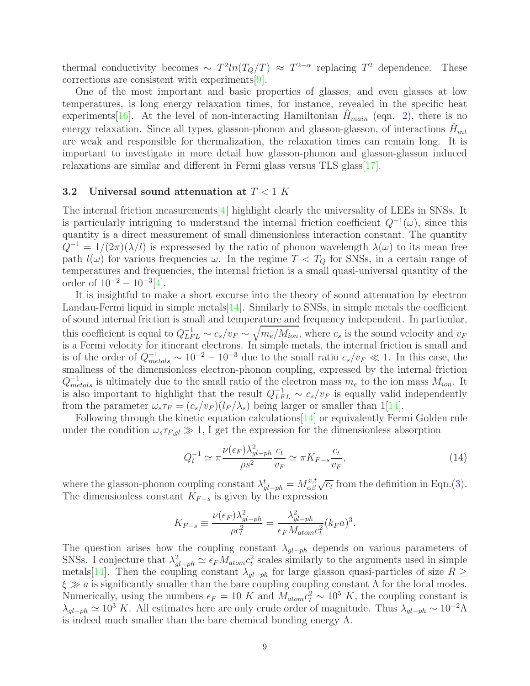thermal conductivity becomes  $\sim T^2 ln(T_Q/T) \approx T^{2-\alpha}$  replacing  $T^2$  dependence. These corrections are consistent with experiments[\[9](#page-14-4)].

One of the most important and basic properties of glasses, and even glasses at low temperatures, is long energy relaxation times, for instance, revealed in the specific heat experiments[\[16](#page-14-11)]. At the level of non-interacting Hamiltonian  $H_{main}$  (eqn. [2\)](#page-4-1), there is no energy relaxation. Since all types, glasson-phonon and glasson-glasson, of interactions  $\hat{H}_{int}$ are weak and responsible for thermalization, the relaxation times can remain long. It is important to investigate in more detail how glasson-phonon and glasson-glasson induced relaxations are similar and different in Fermi glass versus TLS glass [\[17](#page-14-12)].

#### <span id="page-8-0"></span>3.2 Universal sound attenuation at  $T < 1$  K

The internal friction measurements[\[4](#page-13-4)] highlight clearly the universality of LEEs in SNSs. It is particularly intriguing to understand the internal friction coefficient  $Q^{-1}(\omega)$ , since this quantity is a direct measurement of small dimensionless interaction constant. The quantity  $Q^{-1} = 1/(2\pi)(\lambda/l)$  is expressesed by the ratio of phonon wavelength  $\lambda(\omega)$  to its mean free path  $l(\omega)$  for various frequencies  $\omega$ . In the regime  $T < T_Q$  for SNSs, in a certain range of temperatures and frequencies, the internal friction is a small quasi-universal quantity of the order of  $10^{-2} - 10^{-3} [4]$  $10^{-2} - 10^{-3} [4]$ .

It is insightful to make a short excurse into the theory of sound attenuation by electron Landau-Fermi liquid in simple metals $[14]$ . Similarly to SNSs, in simple metals the coefficient of sound internal friction is small and temperature and frequency independent. In particular, this coefficient is equal to  $Q_{LFL}^{-1} \sim c_s/v_F \sim \sqrt{m_e/M_{ion}}$ , where  $c_s$  is the sound velocity and  $v_F$ is a Fermi velocity for itinerant electrons. In simple metals, the internal friction is small and is of the order of  $Q_{metals}^{-1} \sim 10^{-2} - 10^{-3}$  due to the small ratio  $c_s/v_F \ll 1$ . In this case, the smallness of the dimensionless electron-phonon coupling, expressed by the internal friction  $Q^{-1}_{metals}$  is ultimately due to the small ratio of the electron mass  $m_e$  to the ion mass  $M_{ion}$ . It is also important to highlight that the result  $Q_{LFL}^{-1} \sim c_s/v_F$  is equally valid independently from the parameter  $\omega_s \tau_F = (c_s/v_F)(l_F/\lambda_s)$  being larger or smaller than 1[\[14\]](#page-14-9).

Following through the kinetic equation calculations[\[14](#page-14-9)] or equivalently Fermi Golden rule under the condition  $\omega_s \tau_{F,ql} \gg 1$ , I get the expression for the dimensionless absorption

$$
Q_t^{-1} \simeq \pi \frac{\nu(\epsilon_F) \lambda_{gl-ph}^2 c_t}{\rho s^2} \simeq \pi K_{F-s} \frac{c_t}{v_F},\tag{14}
$$

where the glasson-phonon coupling constant  $\lambda_{gl-ph}^t = M_{\alpha\beta}^{x,t} \sqrt{c_t}$  from the definition in Eqn.[\(3\)](#page-4-2). The dimensionless constant  $K_{F-s}$  is given by the expression

$$
K_{F-s} \equiv \frac{\nu(\epsilon_F)\lambda_{gl-ph}^2}{\rho c_t^2} = \frac{\lambda_{gl-ph}^2}{\epsilon_F M_{atom} c_t^2} (k_F a)^3.
$$

The question arises how the coupling constant  $\lambda_{ql-ph}$  depends on various parameters of SNSs. I conjecture that  $\lambda_{gl-ph}^2 \simeq \epsilon_F M_{atom} c_t^2$  $t<sub>t</sub><sup>2</sup>$  scales similarly to the arguments used in simple metals[\[14](#page-14-9)]. Then the coupling constant  $\lambda_{gl-ph}$  for large glasson quasi-particles of size  $R \geq$  $\xi \gg a$  is significantly smaller than the bare coupling coupling constant  $\Lambda$  for the local modes. Numerically, using the numbers  $\epsilon_F = 10$  K and  $M_{atom}c_t^2 \sim 10^5$  K, the coupling constant is  $\lambda_{\text{ql}-ph} \simeq 10^3 K$ . All estimates here are only crude order of magnitude. Thus  $\lambda_{\text{ql}-ph} \sim 10^{-2} \Lambda$ is indeed much smaller than the bare chemical bonding energy  $\Lambda$ .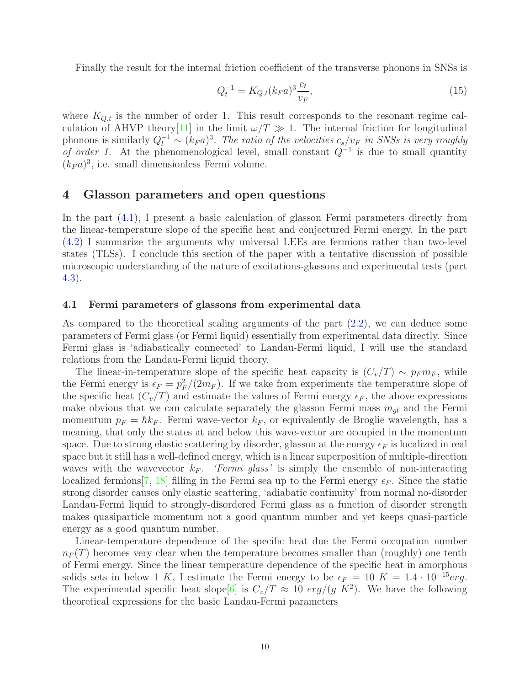Finally the result for the internal friction coefficient of the transverse phonons in SNSs is

<span id="page-9-2"></span>
$$
Q_t^{-1} = K_{Q,t}(k_F a)^3 \frac{c_t}{v_F},\tag{15}
$$

where  $K_{Q,t}$  is the number of order 1. This result corresponds to the resonant regime cal-culation of AHVP theory<sup>[\[11](#page-14-6)]</sup> in the limit  $\omega/T \gg 1$ . The internal friction for longitudinal phonons is similarly  $Q_l^{-1} \sim (k_F a)^3$ . The ratio of the velocities  $c_s/v_F$  in SNSs is very roughly of order 1. At the phenomenological level, small constant  $Q^{-1}$  is due to small quantity  $(k_F a)^3$ , i.e. small dimensionless Fermi volume.

# <span id="page-9-0"></span>4 Glasson parameters and open questions

In the part [\(4.1\)](#page-9-1), I present a basic calculation of glasson Fermi parameters directly from the linear-temperature slope of the specific heat and conjectured Fermi energy. In the part [\(4.2\)](#page-10-0) I summarize the arguments why universal LEEs are fermions rather than two-level states (TLSs). I conclude this section of the paper with a tentative discussion of possible microscopic understanding of the nature of excitations-glassons and experimental tests (part [4.3\)](#page-11-0).

#### <span id="page-9-1"></span>4.1 Fermi parameters of glassons from experimental data

As compared to the theoretical scaling arguments of the part [\(2.2\)](#page-4-0), we can deduce some parameters of Fermi glass (or Fermi liquid) essentially from experimental data directly. Since Fermi glass is 'adiabatically connected' to Landau-Fermi liquid, I will use the standard relations from the Landau-Fermi liquid theory.

The linear-in-temperature slope of the specific heat capacity is  $(C_v/T) \sim p_F m_F$ , while the Fermi energy is  $\epsilon_F = p_F^2/(2m_F)$ . If we take from experiments the temperature slope of the specific heat  $(C_v/T)$  and estimate the values of Fermi energy  $\epsilon_F$ , the above expressions make obvious that we can calculate separately the glasson Fermi mass  $m_{gl}$  and the Fermi momentum  $p_F = \hbar k_F$ . Fermi wave-vector  $k_F$ , or equivalently de Broglie wavelength, has a meaning, that only the states at and below this wave-vector are occupied in the momentum space. Due to strong elastic scattering by disorder, glasson at the energy  $\epsilon_F$  is localized in real space but it still has a well-defined energy, which is a linear superposition of multiple-direction waves with the wavevector  $k_F$ . 'Fermi glass' is simply the ensemble of non-interacting localized fermions [\[7](#page-14-2), [18](#page-14-13)] filling in the Fermi sea up to the Fermi energy  $\epsilon_F$ . Since the static strong disorder causes only elastic scattering, 'adiabatic continuity' from normal no-disorder Landau-Fermi liquid to strongly-disordered Fermi glass as a function of disorder strength makes quasiparticle momentum not a good quantum number and yet keeps quasi-particle energy as a good quantum number.

Linear-temperature dependence of the specific heat due the Fermi occupation number  $n_F(T)$  becomes very clear when the temperature becomes smaller than (roughly) one tenth of Fermi energy. Since the linear temperature dependence of the specific heat in amorphous solids sets in below 1 K, I estimate the Fermi energy to be  $\epsilon_F = 10$  K = 1.4 · 10<sup>-15</sup>erg. The experimental specific heat slope<sup>[\[6](#page-14-1)]</sup> is  $C_v/T \approx 10 \, erg/(g \, K^2)$ . We have the following theoretical expressions for the basic Landau-Fermi parameters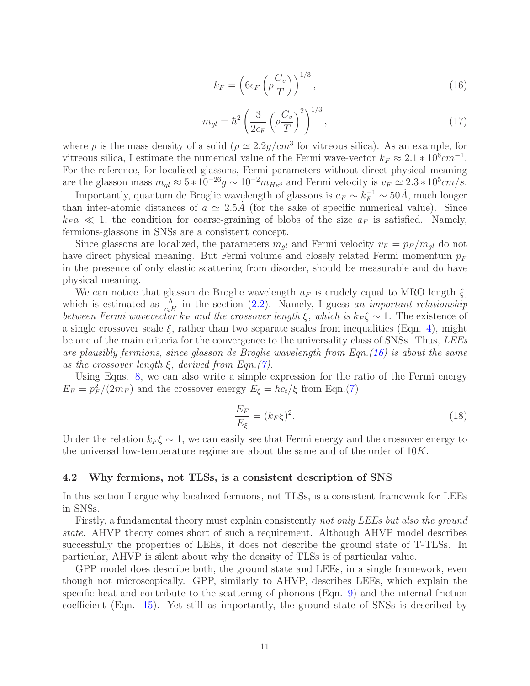<span id="page-10-1"></span>
$$
k_F = \left(6\epsilon_F \left(\rho \frac{C_v}{T}\right)\right)^{1/3},\tag{16}
$$

<span id="page-10-2"></span>
$$
m_{gl} = \hbar^2 \left(\frac{3}{2\epsilon_F} \left(\rho \frac{C_v}{T}\right)^2\right)^{1/3},\tag{17}
$$

where  $\rho$  is the mass density of a solid  $(\rho \simeq 2.2 g/cm^3$  for vitreous silica). As an example, for vitreous silica, I estimate the numerical value of the Fermi wave-vector  $k_F \approx 2.1 * 10^6 cm^{-1}$ . For the reference, for localised glassons, Fermi parameters without direct physical meaning are the glasson mass  $m_{gl} \approx 5 * 10^{-26} g \sim 10^{-2} m_{He^3}$  and Fermi velocity is  $v_F \simeq 2.3 * 10^5 cm/s$ .

Importantly, quantum de Broglie wavelength of glassons is  $a_F \sim k_F^{-1} \sim 50 \text{\AA}$ , much longer than inter-atomic distances of  $a \approx 2.5A$  (for the sake of specific numerical value). Since  $k_F a \ll 1$ , the condition for coarse-graining of blobs of the size  $a_F$  is satisfied. Namely, fermions-glassons in SNSs are a consistent concept.

Since glassons are localized, the parameters  $m_{gl}$  and Fermi velocity  $v_F = p_F / m_{gl}$  do not have direct physical meaning. But Fermi volume and closely related Fermi momentum  $p_F$ in the presence of only elastic scattering from disorder, should be measurable and do have physical meaning.

We can notice that glasson de Broglie wavelength  $a_F$  is crudely equal to MRO length  $\xi$ , which is estimated as  $\frac{\Lambda}{c_tH}$  in the section [\(2.2\)](#page-4-0). Namely, I guess an important relationship between Fermi wavevector  $k_F$  and the crossover length  $\xi$ , which is  $k_F \xi \sim 1$ . The existence of a single crossover scale  $\xi$ , rather than two separate scales from inequalities (Eqn. [4\)](#page-5-3), might be one of the main criteria for the convergence to the universality class of SNSs. Thus, LEEs are plausibly fermions, since glasson de Broglie wavelength from Eqn.[\(16\)](#page-10-1) is about the same as the crossover length  $\xi$ , derived from Eqn.[\(7\)](#page-5-0).

Using Eqns. [8,](#page-5-2) we can also write a simple expression for the ratio of the Fermi energy  $E_F = p_F^2/(2m_F)$  and the crossover energy  $E_{\xi} = \hbar c_t/\xi$  from Eqn.[\(7\)](#page-5-0)

$$
\frac{E_F}{E_\xi} = (k_F \xi)^2. \tag{18}
$$

Under the relation  $k_F \xi \sim 1$ , we can easily see that Fermi energy and the crossover energy to the universal low-temperature regime are about the same and of the order of 10K.

#### <span id="page-10-0"></span>4.2 Why fermions, not TLSs, is a consistent description of SNS

In this section I argue why localized fermions, not TLSs, is a consistent framework for LEEs in SNSs.

Firstly, a fundamental theory must explain consistently not only LEEs but also the ground state. AHVP theory comes short of such a requirement. Although AHVP model describes successfully the properties of LEEs, it does not describe the ground state of T-TLSs. In particular, AHVP is silent about why the density of TLSs is of particular value.

GPP model does describe both, the ground state and LEEs, in a single framework, even though not microscopically. GPP, similarly to AHVP, describes LEEs, which explain the specific heat and contribute to the scattering of phonons (Eqn. [9\)](#page-6-2) and the internal friction coefficient (Eqn. [15\)](#page-9-2). Yet still as importantly, the ground state of SNSs is described by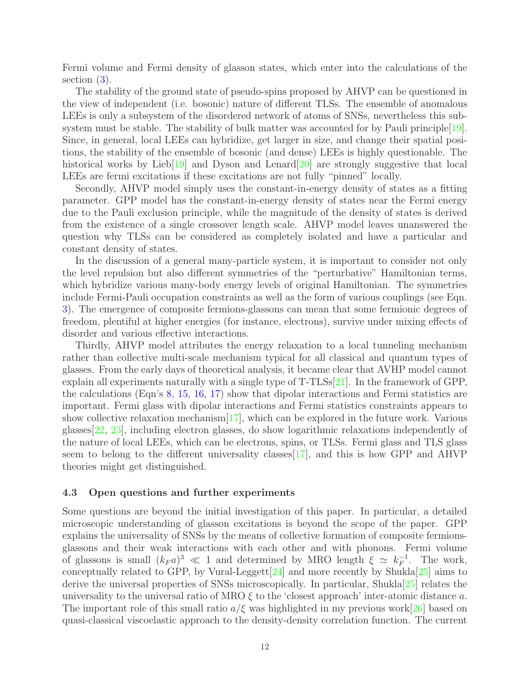Fermi volume and Fermi density of glasson states, which enter into the calculations of the section  $(3)$ .

The stability of the ground state of pseudo-spins proposed by AHVP can be questioned in the view of independent (i.e. bosonic) nature of different TLSs. The ensemble of anomalous LEEs is only a subsystem of the disordered network of atoms of SNSs, nevertheless this subsystem must be stable. The stability of bulk matter was accounted for by Pauli principle $[19]$  $[19]$ . Since, in general, local LEEs can hybridize, get larger in size, and change their spatial positions, the stability of the ensemble of bosonic (and dense) LEEs is highly questionable. The historical works by Lieb[\[19](#page-14-14)] and Dyson and Lenard[\[20](#page-14-15)] are strongly suggestive that local LEEs are fermi excitations if these excitations are not fully "pinned" locally.

Secondly, AHVP model simply uses the constant-in-energy density of states as a fitting parameter. GPP model has the constant-in-energy density of states near the Fermi energy due to the Pauli exclusion principle, while the magnitude of the density of states is derived from the existence of a single crossover length scale. AHVP model leaves unanswered the question why TLSs can be considered as completely isolated and have a particular and constant density of states.

In the discussion of a general many-particle system, it is important to consider not only the level repulsion but also different symmetries of the "perturbative" Hamiltonian terms, which hybridize various many-body energy levels of original Hamiltonian. The symmetries include Fermi-Pauli occupation constraints as well as the form of various couplings (see Eqn. [3\)](#page-4-2). The emergence of composite fermions-glassons can mean that some fermionic degrees of freedom, plentiful at higher energies (for instance, electrons), survive under mixing effects of disorder and various effective interactions.

Thirdly, AHVP model attributes the energy relaxation to a local tunneling mechanism rather than collective multi-scale mechanism typical for all classical and quantum types of glasses. From the early days of theoretical analysis, it became clear that AVHP model cannot explain all experiments naturally with a single type of T-TLSs[\[21](#page-14-16)]. In the framework of GPP, the calculations (Eqn's [8,](#page-5-2) [15,](#page-9-2) [16,](#page-10-1) [17\)](#page-10-2) show that dipolar interactions and Fermi statistics are important. Fermi glass with dipolar interactions and Fermi statistics constraints appears to show collective relaxation mechanism $[17]$  $[17]$ , which can be explored in the future work. Various glasses[\[22,](#page-14-17) [23](#page-14-18)], including electron glasses, do show logarithmic relaxations independently of the nature of local LEEs, which can be electrons, spins, or TLSs. Fermi glass and TLS glass seem to belong to the different universality classes  $[17]$  $[17]$ , and this is how GPP and AHVP theories might get distinguished.

#### <span id="page-11-0"></span>4.3 Open questions and further experiments

Some questions are beyond the initial investigation of this paper. In particular, a detailed microscopic understanding of glasson excitations is beyond the scope of the paper. GPP explains the universality of SNSs by the means of collective formation of composite fermionsglassons and their weak interactions with each other and with phonons. Fermi volume of glassons is small  $(k_F a)^3 \ll 1$  and determined by MRO length  $\xi \simeq k_F^{-1}$ . The work, conceptually related to GPP, by Vural-Leggett $[24]$  $[24]$  and more recently by Shukla $[25]$  $[25]$  aims to derive the universal properties of SNSs microscopically. In particular, Shukla[\[25\]](#page-15-1) relates the universality to the universal ratio of MRO  $\xi$  to the 'closest approach' inter-atomic distance a. The important role of this small ratio  $a/\xi$  was highlighted in my previous work[\[26\]](#page-15-2) based on quasi-classical viscoelastic approach to the density-density correlation function. The current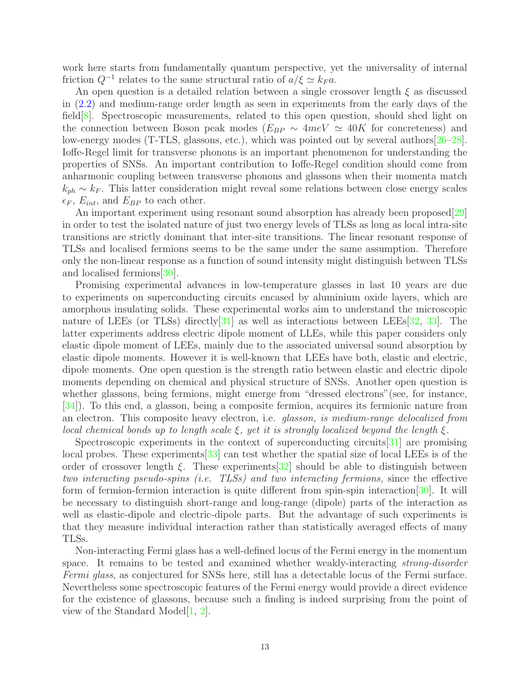work here starts from fundamentally quantum perspective, yet the universality of internal friction  $Q^{-1}$  relates to the same structural ratio of  $a/\xi \simeq k_F a$ .

An open question is a detailed relation between a single crossover length  $\xi$  as discussed in [\(2.2\)](#page-4-0) and medium-range order length as seen in experiments from the early days of the field  $[8]$  $[8]$ . Spectroscopic measurements, related to this open question, should shed light on the connection between Boson peak modes ( $E_{BP} \sim 4meV \simeq 40K$  for concreteness) and low-energy modes (T-TLS, glassons, etc.), which was pointed out by several authors[\[26](#page-15-2)[–28\]](#page-15-3). Ioffe-Regel limit for transverse phonons is an important phenomenon for understanding the properties of SNSs. An important contribution to Ioffe-Regel condition should come from anharmonic coupling between transverse phonons and glassons when their momenta match  $k_{ph} \sim k_F$ . This latter consideration might reveal some relations between close energy scales  $\epsilon_F$ ,  $E_{int}$ , and  $E_{BP}$  to each other.

An important experiment using resonant sound absorption has already been proposed[\[29\]](#page-15-4) in order to test the isolated nature of just two energy levels of TLSs as long as local intra-site transitions are strictly dominant that inter-site transitions. The linear resonant response of TLSs and localised fermions seems to be the same under the same assumption. Therefore only the non-linear response as a function of sound intensity might distinguish between TLSs and localised fermions[\[30](#page-15-5)].

Promising experimental advances in low-temperature glasses in last 10 years are due to experiments on superconducting circuits encased by aluminium oxide layers, which are amorphous insulating solids. These experimental works aim to understand the microscopic nature of LEEs (or TLSs) directly  $[31]$  $[31]$  as well as interactions between LEEs  $[32, 33]$  $[32, 33]$  $[32, 33]$ . The latter experiments address electric dipole moment of LLEs, while this paper considers only elastic dipole moment of LEEs, mainly due to the associated universal sound absorption by elastic dipole moments. However it is well-known that LEEs have both, elastic and electric, dipole moments. One open question is the strength ratio between elastic and electric dipole moments depending on chemical and physical structure of SNSs. Another open question is whether glassons, being fermions, might emerge from "dressed electrons"(see, for instance, [\[34](#page-15-9)]). To this end, a glasson, being a composite fermion, acquires its fermionic nature from an electron. This composite heavy electron, i.e. glasson, is medium-range delocalized from local chemical bonds up to length scale  $\xi$ , yet it is strongly localized beyond the length  $\xi$ .

Spectroscopic experiments in the context of superconducting circuits<sup>[\[31](#page-15-6)]</sup> are promising local probes. These experiments[\[33](#page-15-8)] can test whether the spatial size of local LEEs is of the order of crossover length  $\xi$ . These experiments  $[32]$  $[32]$  should be able to distinguish between two interacting pseudo-spins (i.e. TLSs) and two interacting fermions, since the effective form of fermion-fermion interaction is quite different from spin-spin interaction[\[30\]](#page-15-5). It will be necessary to distinguish short-range and long-range (dipole) parts of the interaction as well as elastic-dipole and electric-dipole parts. But the advantage of such experiments is that they measure individual interaction rather than statistically averaged effects of many TLSs.

Non-interacting Fermi glass has a well-defined locus of the Fermi energy in the momentum space. It remains to be tested and examined whether weakly-interacting *strong-disorder* Fermi glass, as conjectured for SNSs here, still has a detectable locus of the Fermi surface. Nevertheless some spectroscopic features of the Fermi energy would provide a direct evidence for the existence of glassons, because such a finding is indeed surprising from the point of view of the Standard Model $[1, 2]$  $[1, 2]$  $[1, 2]$  $[1, 2]$ .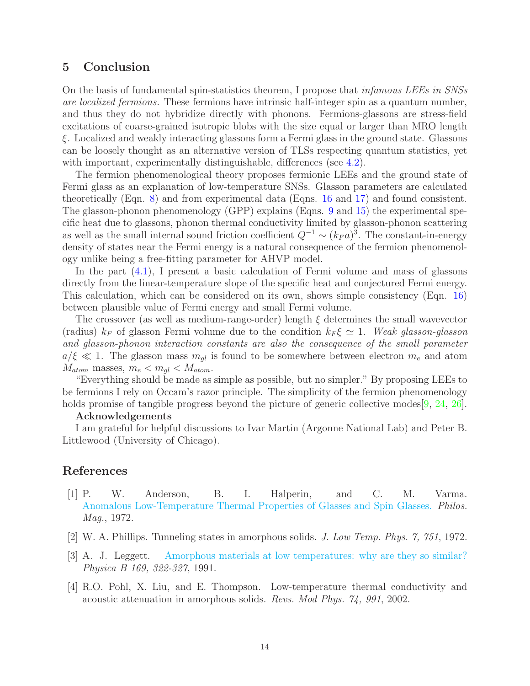# <span id="page-13-0"></span>5 Conclusion

On the basis of fundamental spin-statistics theorem, I propose that infamous LEEs in SNSs are localized fermions. These fermions have intrinsic half-integer spin as a quantum number, and thus they do not hybridize directly with phonons. Fermions-glassons are stress-field excitations of coarse-grained isotropic blobs with the size equal or larger than MRO length ξ. Localized and weakly interacting glassons form a Fermi glass in the ground state. Glassons can be loosely thought as an alternative version of TLSs respecting quantum statistics, yet with important, experimentally distinguishable, differences (see [4.2\)](#page-10-0).

The fermion phenomenological theory proposes fermionic LEEs and the ground state of Fermi glass as an explanation of low-temperature SNSs. Glasson parameters are calculated theoretically (Eqn. [8\)](#page-5-2) and from experimental data (Eqns. [16](#page-10-1) and [17\)](#page-10-2) and found consistent. The glasson-phonon phenomenology (GPP) explains (Eqns. [9](#page-6-2) and [15\)](#page-9-2) the experimental specific heat due to glassons, phonon thermal conductivity limited by glasson-phonon scattering as well as the small internal sound friction coefficient  $Q^{-1} \sim (k_F a)^3$ . The constant-in-energy density of states near the Fermi energy is a natural consequence of the fermion phenomenology unlike being a free-fitting parameter for AHVP model.

In the part [\(4.1\)](#page-9-1), I present a basic calculation of Fermi volume and mass of glassons directly from the linear-temperature slope of the specific heat and conjectured Fermi energy. This calculation, which can be considered on its own, shows simple consistency (Eqn. [16\)](#page-10-1) between plausible value of Fermi energy and small Fermi volume.

The crossover (as well as medium-range-order) length  $\xi$  determines the small wavevector (radius)  $k_F$  of glasson Fermi volume due to the condition  $k_F \xi \simeq 1$ . Weak glasson-glasson and glasson-phonon interaction constants are also the consequence of the small parameter  $a/\xi \ll 1$ . The glasson mass  $m_{ql}$  is found to be somewhere between electron  $m_e$  and atom  $M_{atom}$  masses,  $m_e < m_{ql} < M_{atom}$ .

"Everything should be made as simple as possible, but no simpler." By proposing LEEs to be fermions I rely on Occam's razor principle. The simplicity of the fermion phenomenology holds promise of tangible progress beyond the picture of generic collective modes [\[9,](#page-14-4) [24,](#page-15-0) [26\]](#page-15-2).

#### Acknowledgements

I am grateful for helpful discussions to Ivar Martin (Argonne National Lab) and Peter B. Littlewood (University of Chicago).

# References

- <span id="page-13-1"></span>[1] P. W. Anderson, B. I. Halperin, and C. M. Varma. [Anomalous Low-Temperature Thermal Properties of Glasses and Spin Glasses.](https://knowen-production.s3.amazonaws.com/uploads/attachment/file/5394/14786437208229210.pdf) Philos. Mag., 1972.
- <span id="page-13-2"></span>[2] W. A. Phillips. Tunneling states in amorphous solids. J. Low Temp. Phys. 7, 751, 1972.
- <span id="page-13-3"></span>[3] A. J. Leggett. [Amorphous materials at low temperatures: why are they so similar?](https://knowen-production.s3.amazonaws.com/uploads/attachment/file/5373/Leggett%2B1991%2Bwhy%2Bsimilar.pdf) Physica B 169, 322-327, 1991.
- <span id="page-13-4"></span>[4] R.O. Pohl, X. Liu, and E. Thompson. Low-temperature thermal conductivity and acoustic attenuation in amorphous solids. Revs. Mod Phys. 74, 991, 2002.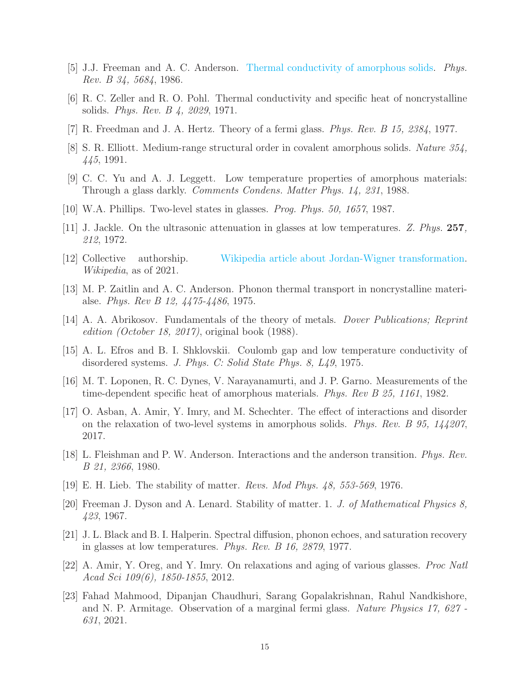- <span id="page-14-0"></span>[5] J.J. Freeman and A. C. Anderson. [Thermal conductivity of amorphous solids.](https://knowen-production.s3.amazonaws.com/uploads/attachment/file/5389/physrevb.34.5684.pdf) Phys. Rev. B 34, 5684, 1986.
- <span id="page-14-1"></span>[6] R. C. Zeller and R. O. Pohl. Thermal conductivity and specific heat of noncrystalline solids. Phys. Rev. B 4, 2029, 1971.
- <span id="page-14-2"></span> $[7]$  R. Freedman and J. A. Hertz. Theory of a fermi glass. *Phys. Rev. B* 15, 2384, 1977.
- <span id="page-14-3"></span>[8] S. R. Elliott. Medium-range structural order in covalent amorphous solids. Nature 354, 445, 1991.
- <span id="page-14-4"></span>[9] C. C. Yu and A. J. Leggett. Low temperature properties of amorphous materials: Through a glass darkly. Comments Condens. Matter Phys. 14, 231, 1988.
- <span id="page-14-5"></span>[10] W.A. Phillips. Two-level states in glasses. Prog. Phys. 50, 1657, 1987.
- <span id="page-14-6"></span>[11] J. Jackle. On the ultrasonic attenuation in glasses at low temperatures. Z. Phys. 257, 212, 1972.
- <span id="page-14-7"></span>[12] Collective authorship. [Wikipedia article about Jordan-Wigner transformation.](https://en.wikipedia.org/wiki/Jordan%E2%80%93Wigner_transformation) Wikipedia, as of 2021.
- <span id="page-14-8"></span>[13] M. P. Zaitlin and A. C. Anderson. Phonon thermal transport in noncrystalline materialse. Phys. Rev B 12, 4475-4486, 1975.
- <span id="page-14-9"></span>[14] A. A. Abrikosov. Fundamentals of the theory of metals. *Dover Publications; Reprint* edition (October 18, 2017), original book (1988).
- <span id="page-14-10"></span>[15] A. L. Efros and B. I. Shklovskii. Coulomb gap and low temperature conductivity of disordered systems. J. Phys. C: Solid State Phys. 8, L49, 1975.
- <span id="page-14-11"></span>[16] M. T. Loponen, R. C. Dynes, V. Narayanamurti, and J. P. Garno. Measurements of the time-dependent specific heat of amorphous materials. Phys. Rev B 25, 1161, 1982.
- <span id="page-14-12"></span>[17] O. Asban, A. Amir, Y. Imry, and M. Schechter. The effect of interactions and disorder on the relaxation of two-level systems in amorphous solids. Phys. Rev. B 95, 144207, 2017.
- <span id="page-14-13"></span>[18] L. Fleishman and P. W. Anderson. Interactions and the anderson transition. Phys. Rev. B 21, 2366, 1980.
- <span id="page-14-14"></span>[19] E. H. Lieb. The stability of matter. Revs. Mod Phys. 48, 553-569, 1976.
- <span id="page-14-15"></span>[20] Freeman J. Dyson and A. Lenard. Stability of matter. 1. J. of Mathematical Physics 8, 423, 1967.
- <span id="page-14-16"></span>[21] J. L. Black and B. I. Halperin. Spectral diffusion, phonon echoes, and saturation recovery in glasses at low temperatures. Phys. Rev. B 16, 2879, 1977.
- <span id="page-14-17"></span>[22] A. Amir, Y. Oreg, and Y. Imry. On relaxations and aging of various glasses. Proc Natl Acad Sci 109(6), 1850-1855, 2012.
- <span id="page-14-18"></span>[23] Fahad Mahmood, Dipanjan Chaudhuri, Sarang Gopalakrishnan, Rahul Nandkishore, and N. P. Armitage. Observation of a marginal fermi glass. Nature Physics 17, 627 - 631, 2021.